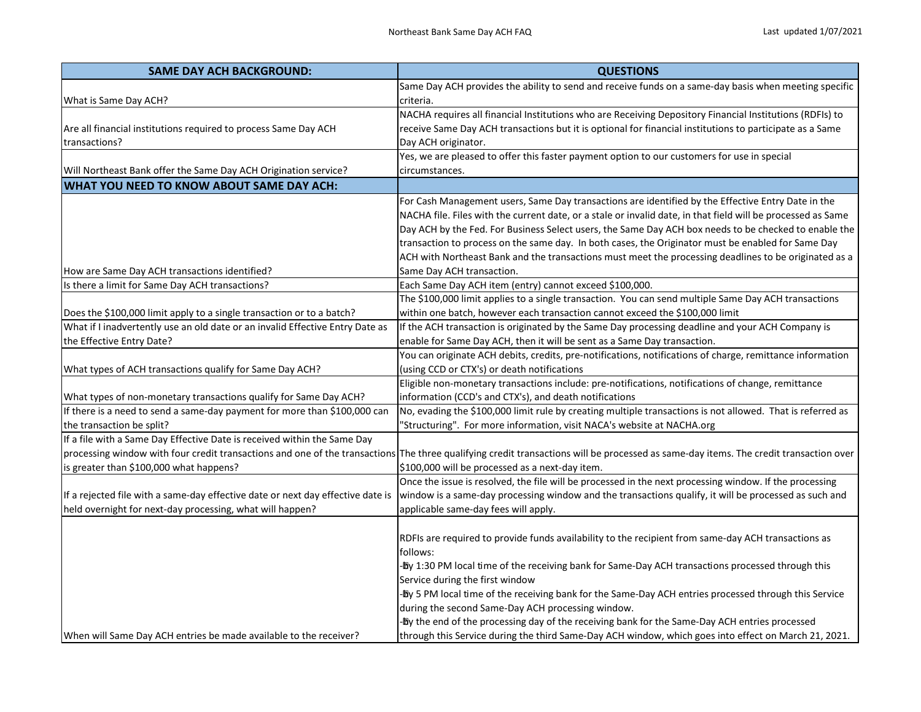| <b>SAME DAY ACH BACKGROUND:</b>                                                 | <b>QUESTIONS</b>                                                                                                                                                                      |
|---------------------------------------------------------------------------------|---------------------------------------------------------------------------------------------------------------------------------------------------------------------------------------|
|                                                                                 | Same Day ACH provides the ability to send and receive funds on a same-day basis when meeting specific                                                                                 |
| What is Same Day ACH?                                                           | criteria.                                                                                                                                                                             |
|                                                                                 | NACHA requires all financial Institutions who are Receiving Depository Financial Institutions (RDFIs) to                                                                              |
| Are all financial institutions required to process Same Day ACH                 | receive Same Day ACH transactions but it is optional for financial institutions to participate as a Same                                                                              |
| transactions?                                                                   | Day ACH originator.                                                                                                                                                                   |
|                                                                                 | Yes, we are pleased to offer this faster payment option to our customers for use in special                                                                                           |
| Will Northeast Bank offer the Same Day ACH Origination service?                 | circumstances.                                                                                                                                                                        |
| <b>WHAT YOU NEED TO KNOW ABOUT SAME DAY ACH:</b>                                |                                                                                                                                                                                       |
|                                                                                 | For Cash Management users, Same Day transactions are identified by the Effective Entry Date in the                                                                                    |
|                                                                                 | NACHA file. Files with the current date, or a stale or invalid date, in that field will be processed as Same                                                                          |
|                                                                                 | Day ACH by the Fed. For Business Select users, the Same Day ACH box needs to be checked to enable the                                                                                 |
|                                                                                 | transaction to process on the same day. In both cases, the Originator must be enabled for Same Day                                                                                    |
|                                                                                 | ACH with Northeast Bank and the transactions must meet the processing deadlines to be originated as a                                                                                 |
| How are Same Day ACH transactions identified?                                   | Same Day ACH transaction.                                                                                                                                                             |
| Is there a limit for Same Day ACH transactions?                                 | Each Same Day ACH item (entry) cannot exceed \$100,000.                                                                                                                               |
|                                                                                 | The \$100,000 limit applies to a single transaction. You can send multiple Same Day ACH transactions                                                                                  |
| Does the \$100,000 limit apply to a single transaction or to a batch?           | within one batch, however each transaction cannot exceed the \$100,000 limit                                                                                                          |
| What if I inadvertently use an old date or an invalid Effective Entry Date as   | If the ACH transaction is originated by the Same Day processing deadline and your ACH Company is                                                                                      |
| the Effective Entry Date?                                                       | enable for Same Day ACH, then it will be sent as a Same Day transaction.                                                                                                              |
|                                                                                 | You can originate ACH debits, credits, pre-notifications, notifications of charge, remittance information                                                                             |
| What types of ACH transactions qualify for Same Day ACH?                        | (using CCD or CTX's) or death notifications                                                                                                                                           |
|                                                                                 | Eligible non-monetary transactions include: pre-notifications, notifications of change, remittance                                                                                    |
| What types of non-monetary transactions qualify for Same Day ACH?               | information (CCD's and CTX's), and death notifications                                                                                                                                |
| If there is a need to send a same-day payment for more than \$100,000 can       | No, evading the \$100,000 limit rule by creating multiple transactions is not allowed. That is referred as                                                                            |
| the transaction be split?                                                       | 'Structuring". For more information, visit NACA's website at NACHA.org                                                                                                                |
| If a file with a Same Day Effective Date is received within the Same Day        |                                                                                                                                                                                       |
|                                                                                 | processing window with four credit transactions and one of the transactions The three qualifying credit transactions will be processed as same-day items. The credit transaction over |
| lis greater than \$100,000 what happens?                                        | \$100,000 will be processed as a next-day item.                                                                                                                                       |
|                                                                                 | Once the issue is resolved, the file will be processed in the next processing window. If the processing                                                                               |
| If a rejected file with a same-day effective date or next day effective date is | window is a same-day processing window and the transactions qualify, it will be processed as such and                                                                                 |
| held overnight for next-day processing, what will happen?                       | applicable same-day fees will apply.                                                                                                                                                  |
|                                                                                 |                                                                                                                                                                                       |
|                                                                                 | RDFIs are required to provide funds availability to the recipient from same-day ACH transactions as                                                                                   |
|                                                                                 | follows:                                                                                                                                                                              |
|                                                                                 | -Dy 1:30 PM local time of the receiving bank for Same-Day ACH transactions processed through this                                                                                     |
|                                                                                 | Service during the first window                                                                                                                                                       |
|                                                                                 | -Dy 5 PM local time of the receiving bank for the Same-Day ACH entries processed through this Service                                                                                 |
|                                                                                 | during the second Same-Day ACH processing window.                                                                                                                                     |
|                                                                                 | -Day the end of the processing day of the receiving bank for the Same-Day ACH entries processed                                                                                       |
| When will Same Day ACH entries be made available to the receiver?               | through this Service during the third Same-Day ACH window, which goes into effect on March 21, 2021.                                                                                  |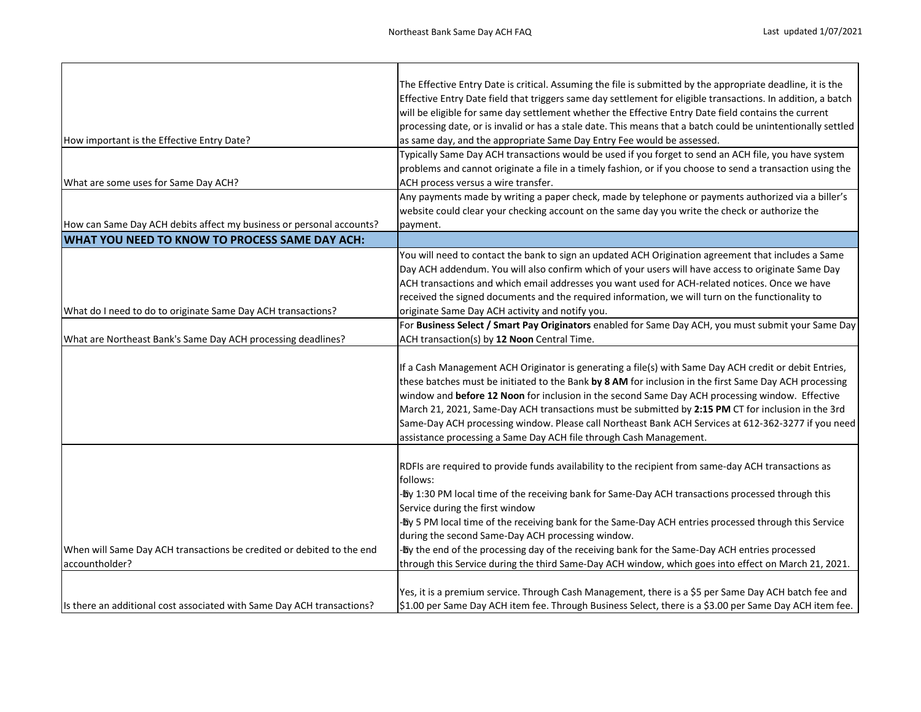|                                                                        | The Effective Entry Date is critical. Assuming the file is submitted by the appropriate deadline, it is the  |
|------------------------------------------------------------------------|--------------------------------------------------------------------------------------------------------------|
|                                                                        | Effective Entry Date field that triggers same day settlement for eligible transactions. In addition, a batch |
|                                                                        | will be eligible for same day settlement whether the Effective Entry Date field contains the current         |
|                                                                        | processing date, or is invalid or has a stale date. This means that a batch could be unintentionally settled |
| How important is the Effective Entry Date?                             | as same day, and the appropriate Same Day Entry Fee would be assessed.                                       |
|                                                                        | Typically Same Day ACH transactions would be used if you forget to send an ACH file, you have system         |
|                                                                        | problems and cannot originate a file in a timely fashion, or if you choose to send a transaction using the   |
| What are some uses for Same Day ACH?                                   | ACH process versus a wire transfer.                                                                          |
|                                                                        | Any payments made by writing a paper check, made by telephone or payments authorized via a biller's          |
|                                                                        | website could clear your checking account on the same day you write the check or authorize the               |
| How can Same Day ACH debits affect my business or personal accounts?   | payment.                                                                                                     |
| <b>WHAT YOU NEED TO KNOW TO PROCESS SAME DAY ACH:</b>                  |                                                                                                              |
|                                                                        | You will need to contact the bank to sign an updated ACH Origination agreement that includes a Same          |
|                                                                        | Day ACH addendum. You will also confirm which of your users will have access to originate Same Day           |
|                                                                        | ACH transactions and which email addresses you want used for ACH-related notices. Once we have               |
|                                                                        | received the signed documents and the required information, we will turn on the functionality to             |
| What do I need to do to originate Same Day ACH transactions?           | originate Same Day ACH activity and notify you.                                                              |
|                                                                        | For Business Select / Smart Pay Originators enabled for Same Day ACH, you must submit your Same Day          |
| What are Northeast Bank's Same Day ACH processing deadlines?           | ACH transaction(s) by 12 Noon Central Time.                                                                  |
|                                                                        |                                                                                                              |
|                                                                        | If a Cash Management ACH Originator is generating a file(s) with Same Day ACH credit or debit Entries,       |
|                                                                        | these batches must be initiated to the Bank by 8 AM for inclusion in the first Same Day ACH processing       |
|                                                                        | window and before 12 Noon for inclusion in the second Same Day ACH processing window. Effective              |
|                                                                        | March 21, 2021, Same-Day ACH transactions must be submitted by 2:15 PM CT for inclusion in the 3rd           |
|                                                                        | Same-Day ACH processing window. Please call Northeast Bank ACH Services at 612-362-3277 if you need          |
|                                                                        | assistance processing a Same Day ACH file through Cash Management.                                           |
|                                                                        |                                                                                                              |
|                                                                        | RDFIs are required to provide funds availability to the recipient from same-day ACH transactions as          |
|                                                                        | follows:                                                                                                     |
|                                                                        | -Dy 1:30 PM local time of the receiving bank for Same-Day ACH transactions processed through this            |
|                                                                        | Service during the first window                                                                              |
|                                                                        | -Dy 5 PM local time of the receiving bank for the Same-Day ACH entries processed through this Service        |
|                                                                        | during the second Same-Day ACH processing window.                                                            |
| When will Same Day ACH transactions be credited or debited to the end  | -Dy the end of the processing day of the receiving bank for the Same-Day ACH entries processed               |
| accountholder?                                                         | through this Service during the third Same-Day ACH window, which goes into effect on March 21, 2021.         |
|                                                                        |                                                                                                              |
|                                                                        | Yes, it is a premium service. Through Cash Management, there is a \$5 per Same Day ACH batch fee and         |
| Is there an additional cost associated with Same Day ACH transactions? | \$1.00 per Same Day ACH item fee. Through Business Select, there is a \$3.00 per Same Day ACH item fee.      |